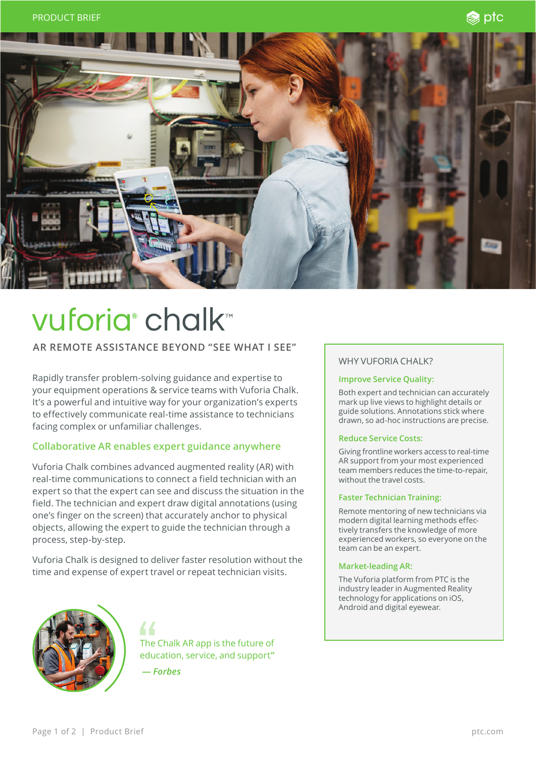

# vuforia<sup>®</sup> chalk™

# **AR REMOTE ASSISTANCE BEYOND "SEE WHAT I SEE"**

Rapidly transfer problem-solving guidance and expertise to your equipment operations & service teams with Vuforia Chalk. It's a powerful and intuitive way for your organization's experts to effectively communicate real-time assistance to technicians facing complex or unfamiliar challenges.

## **Collaborative AR enables expert guidance anywhere**

Vuforia Chalk combines advanced augmented reality (AR) with real-time communications to connect a field technician with an expert so that the expert can see and discuss the situation in the field. The technician and expert draw digital annotations (using one's finger on the screen) that accurately anchor to physical objects, allowing the expert to guide the technician through a process, step-by-step.

Vuforia Chalk is designed to deliver faster resolution without the time and expense of expert travel or repeat technician visits.

44



The Chalk AR app is the future of education, service, and support**" —** *Forbes*

### WHY VUFORIA CHALK?

#### **Improve Service Quality:**

Both expert and technician can accurately mark up live views to highlight details or guide solutions. Annotations stick where drawn, so ad-hoc instructions are precise.

#### **Reduce Service Costs:**

Giving frontline workers access to real-time AR support from your most experienced team members reduces the time-to-repair, without the travel costs.

#### **Faster Technician Training:**

Remote mentoring of new technicians via modern digital learning methods effectively transfers the knowledge of more experienced workers, so everyone on the team can be an expert.

#### **Market-leading AR:**

The Vuforia platform from PTC is the industry leader in Augmented Reality technology for applications on iOS, Android and digital eyewear.